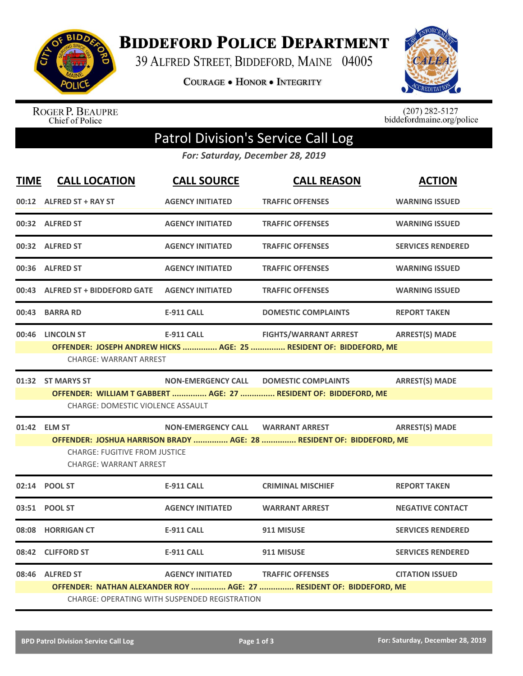

**BIDDEFORD POLICE DEPARTMENT** 

39 ALFRED STREET, BIDDEFORD, MAINE 04005

COURAGE . HONOR . INTEGRITY



ROGER P. BEAUPRE<br>Chief of Police

 $(207)$  282-5127<br>biddefordmaine.org/police

## Patrol Division's Service Call Log

*For: Saturday, December 28, 2019*

| 00:12 ALFRED ST + RAY ST<br>00:32 ALFRED ST<br>00:32 ALFRED ST<br>00:36 ALFRED ST                                                                                                                                                            | <b>AGENCY INITIATED</b><br><b>AGENCY INITIATED</b><br><b>AGENCY INITIATED</b> | <b>TRAFFIC OFFENSES</b><br><b>TRAFFIC OFFENSES</b>                | <b>WARNING ISSUED</b><br><b>WARNING ISSUED</b>                                                                                                                                                    |  |  |
|----------------------------------------------------------------------------------------------------------------------------------------------------------------------------------------------------------------------------------------------|-------------------------------------------------------------------------------|-------------------------------------------------------------------|---------------------------------------------------------------------------------------------------------------------------------------------------------------------------------------------------|--|--|
|                                                                                                                                                                                                                                              |                                                                               |                                                                   |                                                                                                                                                                                                   |  |  |
|                                                                                                                                                                                                                                              |                                                                               |                                                                   |                                                                                                                                                                                                   |  |  |
|                                                                                                                                                                                                                                              |                                                                               | <b>TRAFFIC OFFENSES</b>                                           | <b>SERVICES RENDERED</b>                                                                                                                                                                          |  |  |
|                                                                                                                                                                                                                                              | <b>AGENCY INITIATED</b>                                                       | <b>TRAFFIC OFFENSES</b>                                           | <b>WARNING ISSUED</b>                                                                                                                                                                             |  |  |
|                                                                                                                                                                                                                                              | <b>AGENCY INITIATED</b>                                                       | <b>TRAFFIC OFFENSES</b>                                           | <b>WARNING ISSUED</b>                                                                                                                                                                             |  |  |
| 00:43 BARRA RD                                                                                                                                                                                                                               | <b>E-911 CALL</b>                                                             | <b>DOMESTIC COMPLAINTS</b>                                        | <b>REPORT TAKEN</b>                                                                                                                                                                               |  |  |
| 00:46 LINCOLN ST                                                                                                                                                                                                                             | <b>E-911 CALL</b>                                                             | <b>FIGHTS/WARRANT ARREST</b>                                      | <b>ARREST(S) MADE</b>                                                                                                                                                                             |  |  |
| <b>NON-EMERGENCY CALL</b><br><b>ARREST(S) MADE</b><br>01:32 ST MARYS ST<br><b>DOMESTIC COMPLAINTS</b><br>OFFENDER: WILLIAM T GABBERT  AGE: 27  RESIDENT OF: BIDDEFORD, ME<br><b>CHARGE: DOMESTIC VIOLENCE ASSAULT</b>                        |                                                                               |                                                                   |                                                                                                                                                                                                   |  |  |
| <b>ARREST(S) MADE</b><br>01:42 ELM ST<br><b>NON-EMERGENCY CALL</b><br><b>WARRANT ARREST</b><br>OFFENDER: JOSHUA HARRISON BRADY  AGE: 28  RESIDENT OF: BIDDEFORD, ME<br><b>CHARGE: FUGITIVE FROM JUSTICE</b><br><b>CHARGE: WARRANT ARREST</b> |                                                                               |                                                                   |                                                                                                                                                                                                   |  |  |
| 02:14 POOL ST                                                                                                                                                                                                                                | <b>E-911 CALL</b>                                                             | <b>CRIMINAL MISCHIEF</b>                                          | <b>REPORT TAKEN</b>                                                                                                                                                                               |  |  |
| 03:51 POOL ST                                                                                                                                                                                                                                | <b>AGENCY INITIATED</b>                                                       | <b>WARRANT ARREST</b>                                             | <b>NEGATIVE CONTACT</b>                                                                                                                                                                           |  |  |
| 08:08 HORRIGAN CT                                                                                                                                                                                                                            | <b>E-911 CALL</b>                                                             | 911 MISUSE                                                        | <b>SERVICES RENDERED</b>                                                                                                                                                                          |  |  |
| 08:42 CLIFFORD ST                                                                                                                                                                                                                            | <b>E-911 CALL</b>                                                             | 911 MISUSE                                                        | <b>SERVICES RENDERED</b>                                                                                                                                                                          |  |  |
| 08:46 ALFRED ST                                                                                                                                                                                                                              | <b>AGENCY INITIATED</b>                                                       | <b>TRAFFIC OFFENSES</b>                                           | <b>CITATION ISSUED</b>                                                                                                                                                                            |  |  |
|                                                                                                                                                                                                                                              |                                                                               | 00:43 ALFRED ST + BIDDEFORD GATE<br><b>CHARGE: WARRANT ARREST</b> | OFFENDER: JOSEPH ANDREW HICKS  AGE: 25  RESIDENT OF: BIDDEFORD, ME<br>OFFENDER: NATHAN ALEXANDER ROY  AGE: 27  RESIDENT OF: BIDDEFORD, ME<br><b>CHARGE: OPERATING WITH SUSPENDED REGISTRATION</b> |  |  |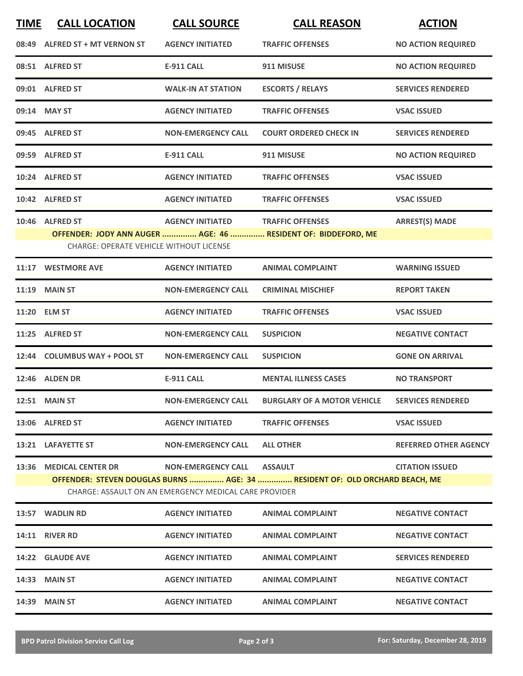| <b>TIME</b> | <b>CALL LOCATION</b>                           | <b>CALL SOURCE</b>                                    | <b>CALL REASON</b>                                                          | <b>ACTION</b>                |
|-------------|------------------------------------------------|-------------------------------------------------------|-----------------------------------------------------------------------------|------------------------------|
|             | 08:49 ALFRED ST + MT VERNON ST                 | <b>AGENCY INITIATED</b>                               | <b>TRAFFIC OFFENSES</b>                                                     | <b>NO ACTION REQUIRED</b>    |
|             | 08:51 ALFRED ST                                | <b>E-911 CALL</b>                                     | 911 MISUSE                                                                  | <b>NO ACTION REQUIRED</b>    |
|             | 09:01 ALFRED ST                                | <b>WALK-IN AT STATION</b>                             | <b>ESCORTS / RELAYS</b>                                                     | <b>SERVICES RENDERED</b>     |
|             | 09:14 MAY ST                                   | <b>AGENCY INITIATED</b>                               | <b>TRAFFIC OFFENSES</b>                                                     | <b>VSAC ISSUED</b>           |
|             | 09:45 ALFRED ST                                | <b>NON-EMERGENCY CALL</b>                             | <b>COURT ORDERED CHECK IN</b>                                               | <b>SERVICES RENDERED</b>     |
|             | 09:59 ALFRED ST                                | <b>E-911 CALL</b>                                     | 911 MISUSE                                                                  | <b>NO ACTION REQUIRED</b>    |
|             | 10:24 ALFRED ST                                | <b>AGENCY INITIATED</b>                               | <b>TRAFFIC OFFENSES</b>                                                     | <b>VSAC ISSUED</b>           |
|             | 10:42 ALFRED ST                                | <b>AGENCY INITIATED</b>                               | <b>TRAFFIC OFFENSES</b>                                                     | <b>VSAC ISSUED</b>           |
|             | 10:46 ALFRED ST                                | <b>AGENCY INITIATED</b>                               | <b>TRAFFIC OFFENSES</b>                                                     | <b>ARREST(S) MADE</b>        |
|             | <b>CHARGE: OPERATE VEHICLE WITHOUT LICENSE</b> |                                                       | OFFENDER: JODY ANN AUGER  AGE: 46  RESIDENT OF: BIDDEFORD, ME               |                              |
| 11:17       | <b>WESTMORE AVE</b>                            | <b>AGENCY INITIATED</b>                               | <b>ANIMAL COMPLAINT</b>                                                     | <b>WARNING ISSUED</b>        |
|             | 11:19 MAIN ST                                  | <b>NON-EMERGENCY CALL</b>                             | <b>CRIMINAL MISCHIEF</b>                                                    | <b>REPORT TAKEN</b>          |
|             | 11:20 ELM ST                                   | <b>AGENCY INITIATED</b>                               | <b>TRAFFIC OFFENSES</b>                                                     | <b>VSAC ISSUED</b>           |
| 11:25       | <b>ALFRED ST</b>                               | <b>NON-EMERGENCY CALL</b>                             | <b>SUSPICION</b>                                                            | <b>NEGATIVE CONTACT</b>      |
|             | 12:44 COLUMBUS WAY + POOL ST                   | <b>NON-EMERGENCY CALL</b>                             | <b>SUSPICION</b>                                                            | <b>GONE ON ARRIVAL</b>       |
|             | 12:46 ALDEN DR                                 | <b>E-911 CALL</b>                                     | <b>MENTAL ILLNESS CASES</b>                                                 | <b>NO TRANSPORT</b>          |
|             | <b>12:51 MAIN ST</b>                           | <b>NON-EMERGENCY CALL</b>                             | <b>BURGLARY OF A MOTOR VEHICLE</b>                                          | <b>SERVICES RENDERED</b>     |
|             | 13:06 ALFRED ST                                | <b>AGENCY INITIATED</b>                               | <b>TRAFFIC OFFENSES</b>                                                     | <b>VSAC ISSUED</b>           |
|             | 13:21 LAFAYETTE ST                             | <b>NON-EMERGENCY CALL</b>                             | <b>ALL OTHER</b>                                                            | <b>REFERRED OTHER AGENCY</b> |
|             | 13:36 MEDICAL CENTER DR                        | NON-EMERGENCY CALL ASSAULT                            |                                                                             | <b>CITATION ISSUED</b>       |
|             |                                                | CHARGE: ASSAULT ON AN EMERGENCY MEDICAL CARE PROVIDER | OFFENDER: STEVEN DOUGLAS BURNS  AGE: 34  RESIDENT OF: OLD ORCHARD BEACH, ME |                              |
|             | 13:57 WADLIN RD                                | <b>AGENCY INITIATED</b>                               | <b>ANIMAL COMPLAINT</b>                                                     | <b>NEGATIVE CONTACT</b>      |
|             | <b>14:11 RIVER RD</b>                          | <b>AGENCY INITIATED</b>                               | <b>ANIMAL COMPLAINT</b>                                                     | <b>NEGATIVE CONTACT</b>      |
|             | 14:22 GLAUDE AVE                               | <b>AGENCY INITIATED</b>                               | <b>ANIMAL COMPLAINT</b>                                                     | <b>SERVICES RENDERED</b>     |
|             | <b>14:33 MAIN ST</b>                           | <b>AGENCY INITIATED</b>                               | <b>ANIMAL COMPLAINT</b>                                                     | <b>NEGATIVE CONTACT</b>      |
|             | <b>14:39 MAIN ST</b>                           | <b>AGENCY INITIATED</b>                               | <b>ANIMAL COMPLAINT</b>                                                     | <b>NEGATIVE CONTACT</b>      |